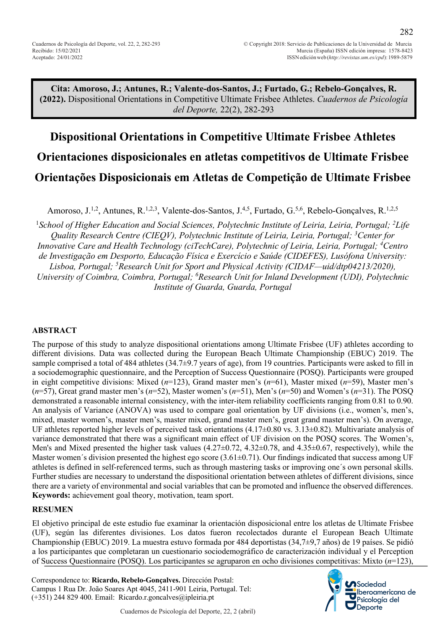282

**Cita: Amoroso, J.; Antunes, R.; Valente-dos-Santos, J.; Furtado, G.; Rebelo-Gonçalves, R. (2022).** Dispositional Orientations in Competitive Ultimate Frisbee Athletes. *Cuadernos de Psicología del Deporte,* 22(2), 282-293

# **Dispositional Orientations in Competitive Ultimate Frisbee Athletes Orientaciones disposicionales en atletas competitivos de Ultimate Frisbee Orientações Disposicionais em Atletas de Competição de Ultimate Frisbee**

Amoroso, J.<sup>1,2</sup>, Antunes, R.<sup>1,2,3</sup>, Valente-dos-Santos, J.<sup>4,5</sup>, Furtado, G.<sup>5,6</sup>, Rebelo-Gonçalves, R.<sup>1,2,5</sup>

<sup>1</sup>School of Higher Education and Social Sciences, Polytechnic Institute of Leiria, Leiria, Portugal; <sup>2</sup>Life *Quality Research Centre (CIEQV), Polytechnic Institute of Leiria, Leiria, Portugal; 3 Center for Innovative Care and Health Technology (ciTechCare), Polytechnic of Leiria, Leiria, Portugal; 4 Centro de Investigação em Desporto, Educação Física e Exercício e Saúde (CIDEFES), Lusófona University: Lisboa, Portugal; 5 Research Unit for Sport and Physical Activity (CIDAF—uid/dtp04213/2020),* 

*University of Coimbra, Coimbra, Portugal; 6 Research Unit for Inland Development (UDI), Polytechnic Institute of Guarda, Guarda, Portugal*

#### **ABSTRACT**

The purpose of this study to analyze dispositional orientations among Ultimate Frisbee (UF) athletes according to different divisions. Data was collected during the European Beach Ultimate Championship (EBUC) 2019. The sample comprised a total of 484 athletes (34.7±9.7 years of age), from 19 countries. Participants were asked to fill in a sociodemographic questionnaire, and the Perception of Success Questionnaire (POSQ). Participants were grouped in eight competitive divisions: Mixed (*n*=123), Grand master men's (*n*=61), Master mixed (*n*=59), Master men's (*n*=57), Great grand master men's (*n*=52), Master women's (*n*=51), Men's (*n*=50) and Women's (*n*=31). The POSQ demonstrated a reasonable internal consistency, with the inter-item reliability coefficients ranging from 0.81 to 0.90. An analysis of Variance (ANOVA) was used to compare goal orientation by UF divisions (i.e., women's, men's, mixed, master women's, master men's, master mixed, grand master men's, great grand master men's). On average, UF athletes reported higher levels of perceived task orientations  $(4.17\pm0.80 \text{ vs. } 3.13\pm0.82)$ . Multivariate analysis of variance demonstrated that there was a significant main effect of UF division on the POSQ scores. The Women's, Men's and Mixed presented the higher task values  $(4.27\pm0.72, 4.32\pm0.78,$  and  $4.35\pm0.67$ , respectively), while the Master women's division presented the highest ego score  $(3.61\pm0.71)$ . Our findings indicated that success among UF athletes is defined in self-referenced terms, such as through mastering tasks or improving one´s own personal skills. Further studies are necessary to understand the dispositional orientation between athletes of different divisions, since there are a variety of environmental and social variables that can be promoted and influence the observed differences. **Keywords:** achievement goal theory, motivation, team sport.

#### **RESUMEN**

El objetivo principal de este estudio fue examinar la orientación disposicional entre los atletas de Ultimate Frisbee (UF), según las diferentes divisiones. Los datos fueron recolectados durante el European Beach Ultimate Championship (EBUC) 2019. La muestra estuvo formada por 484 deportistas (34,7±9,7 años) de 19 países. Se pidió a los participantes que completaran un cuestionario sociodemográfico de caracterización individual y el Perception of Success Questionnaire (POSQ). Los participantes se agruparon en ocho divisiones competitivas: Mixto (*n*=123),

Correspondence to: **Ricardo, Rebelo-Gonçalves.** Dirección Postal: Campus 1 Rua Dr. João Soares Apt 4045, 2411-901 Leiria, Portugal. Tel: (+351) 244 829 400. Email: Ricardo.r.goncalves@ipleiria.pt

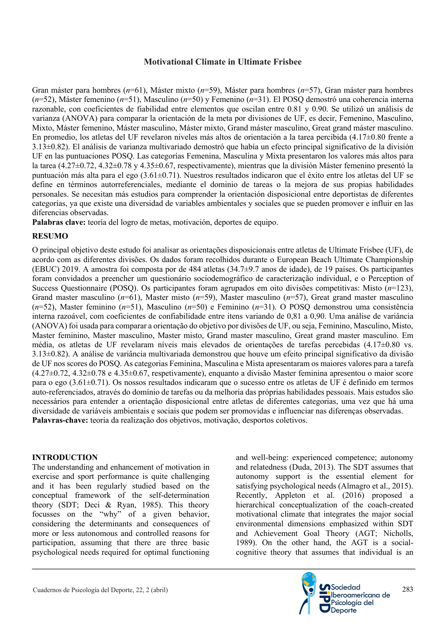Gran máster para hombres (*n*=61), Máster mixto (*n*=59), Máster para hombres (*n*=57), Gran máster para hombres (*n*=52), Máster femenino (*n*=51), Masculino (*n*=50) y Femenino (*n*=31). El POSQ demostró una coherencia interna razonable, con coeficientes de fiabilidad entre elementos que oscilan entre 0.81 y 0.90. Se utilizó un análisis de varianza (ANOVA) para comparar la orientación de la meta por divisiones de UF, es decir, Femenino, Masculino, Mixto, Máster femenino, Máster masculino, Máster mixto, Grand máster masculino, Great grand máster masculino. En promedio, los atletas del UF revelaron niveles más altos de orientación a la tarea percibida (4.17±0.80 frente a 3.13±0.82). El análisis de varianza multivariado demostró que había un efecto principal significativo de la división UF en las puntuaciones POSQ. Las categorías Femenina, Masculina y Mixta presentaron los valores más altos para la tarea (4.27±0.72, 4.32±0.78 y 4.35±0.67, respectivamente), mientras que la división Máster femenino presentó la puntuación más alta para el ego (3.61±0.71). Nuestros resultados indicaron que el éxito entre los atletas del UF se define en términos autorreferenciales, mediante el dominio de tareas o la mejora de sus propias habilidades personales. Se necesitan más estudios para comprender la orientación disposicional entre deportistas de diferentes categorías, ya que existe una diversidad de variables ambientales y sociales que se pueden promover e influir en las diferencias observadas.

**Palabras clave:** teoría del logro de metas, motivación, deportes de equipo.

# **RESUMO**

O principal objetivo deste estudo foi analisar as orientações disposicionais entre atletas de Ultimate Frisbee (UF), de acordo com as diferentes divisões. Os dados foram recolhidos durante o European Beach Ultimate Championship (EBUC) 2019. A amostra foi composta por de 484 atletas (34.7±9.7 anos de idade), de 19 países. Os participantes foram convidados a preencher um questionário sociodemográfico de caracterização individual, e o Perception of Success Questionnaire (POSQ). Os participantes foram agrupados em oito divisões competitivas: Misto (*n*=123), Grand master masculino (*n*=61), Master misto (*n*=59), Master masculino (*n*=57), Great grand master masculino (*n*=52), Master feminino (*n*=51), Masculino (*n*=50) e Feminino (*n*=31). O POSQ demonstrou uma consistência interna razoável, com coeficientes de confiabilidade entre itens variando de 0,81 a 0,90. Uma análise de variância (ANOVA) foi usada para comparar a orientação do objetivo por divisões de UF, ou seja, Feminino, Masculino, Misto, Master feminino, Master masculino, Master misto, Grand master masculino, Great grand master masculino. Em média, os atletas de UF revelaram níveis mais elevados de orientações de tarefas percebidas (4.17±0.80 vs. 3.13±0.82). A análise de variância multivariada demonstrou que houve um efeito principal significativo da divisão de UF nos scores do POSQ. As categorias Feminina, Masculina e Mista apresentaram os maiores valores para a tarefa (4.27±0.72, 4.32±0.78 e 4.35±0.67, respetivamente), enquanto a divisão Master feminina apresentou o maior score para o ego (3.61±0.71). Os nossos resultados indicaram que o sucesso entre os atletas de UF é definido em termos auto-referenciados, através do domínio de tarefas ou da melhoria das próprias habilidades pessoais. Mais estudos são necessários para entender a orientação disposicional entre atletas de diferentes categorias, uma vez que há uma diversidade de variáveis ambientais e sociais que podem ser promovidas e influenciar nas diferenças observadas. **Palavras-chave:** teoria da realização dos objetivos, motivação, desportos coletivos.

# **INTRODUCTION**

The understanding and enhancement of motivation in exercise and sport performance is quite challenging and it has been regularly studied based on the conceptual framework of the self-determination theory (SDT; Deci & Ryan, 1985). This theory focusses on the "why" of a given behavior, considering the determinants and consequences of more or less autonomous and controlled reasons for participation, assuming that there are three basic psychological needs required for optimal functioning and well-being: experienced competence; autonomy and relatedness (Duda, 2013). The SDT assumes that autonomy support is the essential element for satisfying psychological needs (Almagro et al., 2015). Recently, Appleton et al. (2016) proposed a hierarchical conceptualization of the coach-created motivational climate that integrates the major social environmental dimensions emphasized within SDT and Achievement Goal Theory (AGT; Nicholls, 1989). On the other hand, the AGT is a socialcognitive theory that assumes that individual is an

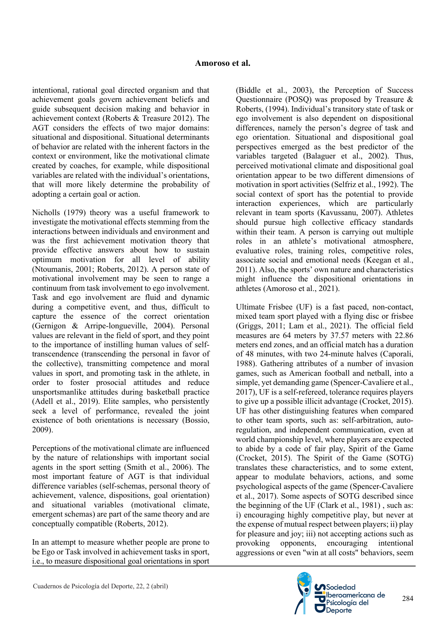intentional, rational goal directed organism and that achievement goals govern achievement beliefs and guide subsequent decision making and behavior in achievement context (Roberts & Treasure 2012). The AGT considers the effects of two major domains: situational and dispositional. Situational determinants of behavior are related with the inherent factors in the context or environment, like the motivational climate created by coaches, for example, while dispositional variables are related with the individual's orientations, that will more likely determine the probability of adopting a certain goal or action.

Nicholls (1979) theory was a useful framework to investigate the motivational effects stemming from the interactions between individuals and environment and was the first achievement motivation theory that provide effective answers about how to sustain optimum motivation for all level of ability (Ntoumanis, 2001; Roberts, 2012). A person state of motivational involvement may be seen to range a continuum from task involvement to ego involvement. Task and ego involvement are fluid and dynamic during a competitive event, and thus, difficult to capture the essence of the correct orientation (Gernigon & Arripe-longueville, 2004). Personal values are relevant in the field of sport, and they point to the importance of instilling human values of selftranscendence (transcending the personal in favor of the collective), transmitting competence and moral values in sport, and promoting task in the athlete, in order to foster prosocial attitudes and reduce unsportsmanlike attitudes during basketball practice (Adell et al., 2019). Elite samples, who persistently seek a level of performance, revealed the joint existence of both orientations is necessary (Bossio, 2009).

Perceptions of the motivational climate are influenced by the nature of relationships with important social agents in the sport setting (Smith et al., 2006). The most important feature of AGT is that individual difference variables (self-schemas, personal theory of achievement, valence, dispositions, goal orientation) and situational variables (motivational climate, emergent schemas) are part of the same theory and are conceptually compatible (Roberts, 2012).

In an attempt to measure whether people are prone to be Ego or Task involved in achievement tasks in sport, i.e., to measure dispositional goal orientations in sport (Biddle et al., 2003), the Perception of Success Questionnaire (POSQ) was proposed by Treasure & Roberts, (1994). Individual's transitory state of task or ego involvement is also dependent on dispositional differences, namely the person's degree of task and ego orientation. Situational and dispositional goal perspectives emerged as the best predictor of the variables targeted (Balaguer et al., 2002). Thus, perceived motivational climate and dispositional goal orientation appear to be two different dimensions of motivation in sport activities (Selfriz et al., 1992). The social context of sport has the potential to provide interaction experiences, which are particularly relevant in team sports (Kavussanu, 2007). Athletes should pursue high collective efficacy standards within their team. A person is carrying out multiple roles in an athlete's motivational atmosphere, evaluative roles, training roles, competitive roles, associate social and emotional needs (Keegan et al., 2011). Also, the sports' own nature and characteristics might influence the dispositional orientations in athletes (Amoroso et al., 2021).

Ultimate Frisbee (UF) is a fast paced, non-contact, mixed team sport played with a flying disc or frisbee (Griggs, 2011; Lam et al., 2021). The official field measures are 64 meters by 37.57 meters with 22.86 meters end zones, and an official match has a duration of 48 minutes, with two 24-minute halves (Caporali, 1988). Gathering attributes of a number of invasion games, such as American football and netball, into a simple, yet demanding game (Spencer-Cavaliere et al., 2017), UF is a self-refereed, tolerance requires players to give up a possible illicit advantage (Crocket, 2015). UF has other distinguishing features when compared to other team sports, such as: self-arbitration, autoregulation, and independent communication, even at world championship level, where players are expected to abide by a code of fair play, Spirit of the Game (Crocket, 2015). The Spirit of the Game (SOTG) translates these characteristics, and to some extent, appear to modulate behaviors, actions, and some psychological aspects of the game (Spencer-Cavaliere et al., 2017). Some aspects of SOTG described since the beginning of the UF (Clark et al., 1981) , such as: i) encouraging highly competitive play, but never at the expense of mutual respect between players; ii) play for pleasure and joy; iii) not accepting actions such as provoking opponents, encouraging intentional aggressions or even "win at all costs" behaviors, seem

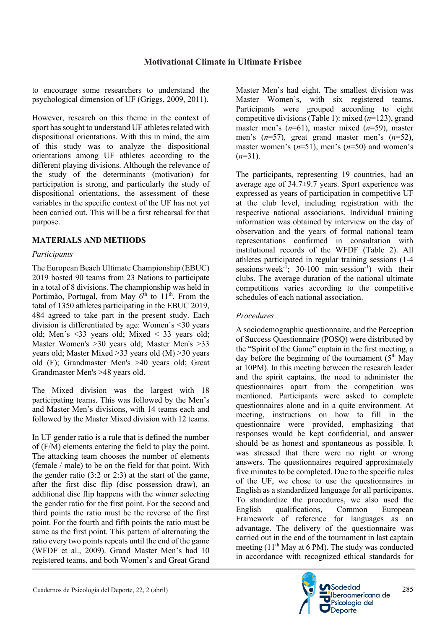to encourage some researchers to understand the psychological dimension of UF (Griggs, 2009, 2011).

However, research on this theme in the context of sport has sought to understand UF athletes related with dispositional orientations. With this in mind, the aim of this study was to analyze the dispositional orientations among UF athletes according to the different playing divisions. Although the relevance of the study of the determinants (motivation) for participation is strong, and particularly the study of dispositional orientations, the assessment of these variables in the specific context of the UF has not yet been carried out. This will be a first rehearsal for that purpose.

# **MATERIALS AND METHODS**

## *Participants*

The European Beach Ultimate Championship (EBUC) 2019 hosted 90 teams from 23 Nations to participate in a total of 8 divisions. The championship was held in Portimão, Portugal, from May  $6^{th}$  to  $11^{th}$ . From the total of 1350 athletes participating in the EBUC 2019, 484 agreed to take part in the present study. Each division is differentiated by age: Women´s <30 years old; Men´s <33 years old; Mixed < 33 years old; Master Women's >30 years old; Master Men's >33 years old; Master Mixed >33 years old (M) >30 years old (F); Grandmaster Men's >40 years old; Great Grandmaster Men's >48 years old.

The Mixed division was the largest with 18 participating teams. This was followed by the Men's and Master Men's divisions, with 14 teams each and followed by the Master Mixed division with 12 teams.

In UF gender ratio is a rule that is defined the number of (F/M) elements entering the field to play the point. The attacking team chooses the number of elements (female / male) to be on the field for that point. With the gender ratio (3:2 or 2:3) at the start of the game, after the first disc flip (disc possession draw), an additional disc flip happens with the winner selecting the gender ratio for the first point. For the second and third points the ratio must be the reverse of the first point. For the fourth and fifth points the ratio must be same as the first point. This pattern of alternating the ratio every two points repeats until the end of the game (WFDF et al., 2009). Grand Master Men's had 10 registered teams, and both Women's and Great Grand Master Men's had eight. The smallest division was Master Women's, with six registered teams. Participants were grouped according to eight competitive divisions (Table 1): mixed (*n*=123), grand master men's (*n*=61), master mixed (*n*=59), master men's (*n*=57), great grand master men's (*n*=52), master women's (*n*=51), men's (*n*=50) and women's  $(n=31)$ .

The participants, representing 19 countries, had an average age of 34.7±9.7 years. Sport experience was expressed as years of participation in competitive UF at the club level, including registration with the respective national associations. Individual training information was obtained by interview on the day of observation and the years of formal national team representations confirmed in consultation with institutional records of the WFDF (Table 2). All athletes participated in regular training sessions (1-4 sessions week<sup>-1</sup>; 30-100 min·session<sup>-1</sup>) with their clubs. The average duration of the national ultimate competitions varies according to the competitive schedules of each national association.

# *Procedures*

A sociodemographic questionnaire, and the Perception of Success Questionnaire (POSQ) were distributed by the "Spirit of the Game" captain in the first meeting, a day before the beginning of the tournament  $(5<sup>th</sup>$  May at 10PM). In this meeting between the research leader and the spirit captains, the need to administer the questionnaires apart from the competition was mentioned. Participants were asked to complete questionnaires alone and in a quite environment. At meeting, instructions on how to fill in the questionnaire were provided, emphasizing that responses would be kept confidential, and answer should be as honest and spontaneous as possible. It was stressed that there were no right or wrong answers. The questionnaires required approximately five minutes to be completed. Due to the specific rules of the UF, we chose to use the questionnaires in English as a standardized language for all participants. To standardize the procedures, we also used the English qualifications, Common European Framework of reference for languages as an advantage. The delivery of the questionnaire was carried out in the end of the tournament in last captain meeting  $(11<sup>th</sup>$  May at 6 PM). The study was conducted in accordance with recognized ethical standards for

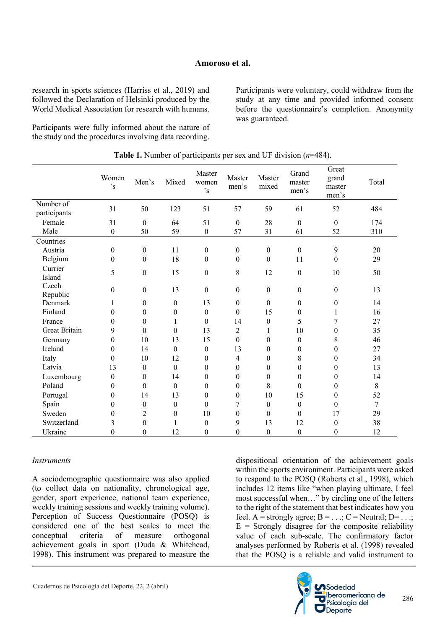### **Amoroso et al.**

research in sports sciences (Harriss et al., 2019) and followed the Declaration of Helsinki produced by the World Medical Association for research with humans.

Participants were fully informed about the nature of the study and the procedures involving data recording.

Participants were voluntary, could withdraw from the study at any time and provided informed consent before the questionnaire's completion. Anonymity was guaranteed.

|                           | Women<br>$,$ s   | Men's            | Mixed            | Master<br>women<br>$,$ s | Master<br>men's  | Master<br>mixed  | Grand<br>master<br>men's | Great<br>grand<br>master<br>men's | Total          |
|---------------------------|------------------|------------------|------------------|--------------------------|------------------|------------------|--------------------------|-----------------------------------|----------------|
| Number of<br>participants | 31               | 50               | 123              | 51                       | 57               | 59               | 61                       | 52                                | 484            |
| Female                    | 31               | $\boldsymbol{0}$ | 64               | 51                       | $\boldsymbol{0}$ | 28               | $\boldsymbol{0}$         | $\boldsymbol{0}$                  | 174            |
| Male                      | $\boldsymbol{0}$ | 50               | 59               | $\boldsymbol{0}$         | 57               | 31               | 61                       | 52                                | 310            |
| Countries                 |                  |                  |                  |                          |                  |                  |                          |                                   |                |
| Austria                   | $\boldsymbol{0}$ | $\boldsymbol{0}$ | 11               | $\boldsymbol{0}$         | $\boldsymbol{0}$ | $\boldsymbol{0}$ | $\boldsymbol{0}$         | 9                                 | 20             |
| Belgium                   | $\boldsymbol{0}$ | $\boldsymbol{0}$ | 18               | $\boldsymbol{0}$         | $\boldsymbol{0}$ | $\boldsymbol{0}$ | 11                       | $\boldsymbol{0}$                  | 29             |
| Currier<br>Island         | 5                | $\boldsymbol{0}$ | 15               | $\boldsymbol{0}$         | 8                | 12               | $\boldsymbol{0}$         | 10                                | 50             |
| Czech<br>Republic         | $\theta$         | $\boldsymbol{0}$ | 13               | $\boldsymbol{0}$         | $\boldsymbol{0}$ | $\boldsymbol{0}$ | $\boldsymbol{0}$         | $\boldsymbol{0}$                  | 13             |
| Denmark                   | 1                | $\boldsymbol{0}$ | $\boldsymbol{0}$ | 13                       | $\boldsymbol{0}$ | $\boldsymbol{0}$ | $\boldsymbol{0}$         | $\boldsymbol{0}$                  | 14             |
| Finland                   | $\theta$         | $\theta$         | $\theta$         | $\mathbf{0}$             | $\mathbf{0}$     | 15               | $\boldsymbol{0}$         | 1                                 | 16             |
| France                    | $\boldsymbol{0}$ | $\boldsymbol{0}$ | 1                | $\mathbf{0}$             | 14               | $\boldsymbol{0}$ | 5                        | 7                                 | 27             |
| <b>Great Britain</b>      | 9                | $\theta$         | $\theta$         | 13                       | 2                | $\mathbf{1}$     | 10                       | $\overline{0}$                    | 35             |
| Germany                   | $\boldsymbol{0}$ | 10               | 13               | 15                       | $\boldsymbol{0}$ | $\boldsymbol{0}$ | $\boldsymbol{0}$         | 8                                 | 46             |
| Ireland                   | $\theta$         | 14               | $\theta$         | $\theta$                 | 13               | $\theta$         | $\theta$                 | $\theta$                          | 27             |
| Italy                     | $\boldsymbol{0}$ | 10               | 12               | $\boldsymbol{0}$         | $\overline{4}$   | $\theta$         | 8                        | $\theta$                          | 34             |
| Latvia                    | 13               | $\theta$         | $\mathbf{0}$     | $\theta$                 | $\mathbf{0}$     | $\theta$         | $\theta$                 | $\theta$                          | 13             |
| Luxembourg                | $\boldsymbol{0}$ | $\boldsymbol{0}$ | 14               | $\boldsymbol{0}$         | $\theta$         | $\boldsymbol{0}$ | $\boldsymbol{0}$         | $\theta$                          | 14             |
| Poland                    | $\theta$         | $\theta$         | $\mathbf{0}$     | $\theta$                 | $\theta$         | 8                | $\theta$                 | $\theta$                          | 8              |
| Portugal                  | $\boldsymbol{0}$ | 14               | 13               | $\theta$                 | $\mathbf{0}$     | 10               | 15                       | $\boldsymbol{0}$                  | 52             |
| Spain                     | $\boldsymbol{0}$ | $\boldsymbol{0}$ | $\boldsymbol{0}$ | $\mathbf{0}$             | 7                | $\boldsymbol{0}$ | $\boldsymbol{0}$         | $\boldsymbol{0}$                  | $\overline{7}$ |
| Sweden                    | $\theta$         | $\overline{c}$   | $\theta$         | 10                       | $\theta$         | $\boldsymbol{0}$ | $\boldsymbol{0}$         | 17                                | 29             |
| Switzerland               | 3                | $\boldsymbol{0}$ | 1                | $\boldsymbol{0}$         | 9                | 13               | 12                       | $\mathbf{0}$                      | 38             |
| Ukraine                   | 0                | $\boldsymbol{0}$ | 12               | $\boldsymbol{0}$         | $\boldsymbol{0}$ | $\boldsymbol{0}$ | $\boldsymbol{0}$         | $\boldsymbol{0}$                  | 12             |

**Table 1.** Number of participants per sex and UF division (*n*=484).

#### *Instruments*

A sociodemographic questionnaire was also applied (to collect data on nationality, chronological age, gender, sport experience, national team experience, weekly training sessions and weekly training volume). Perception of Success Questionnaire (POSQ) is considered one of the best scales to meet the conceptual criteria of measure orthogonal achievement goals in sport (Duda & Whitehead, 1998). This instrument was prepared to measure the dispositional orientation of the achievement goals within the sports environment. Participants were asked to respond to the POSQ (Roberts et al., 1998), which includes 12 items like "when playing ultimate, I feel most successful when…" by circling one of the letters to the right of the statement that best indicates how you feel. A = strongly agree;  $B = ...$ ;  $C =$  Neutral;  $D = ...$ ;  $E =$  Strongly disagree for the composite reliability value of each sub-scale. The confirmatory factor analyses performed by Roberts et al. (1998) revealed that the POSQ is a reliable and valid instrument to

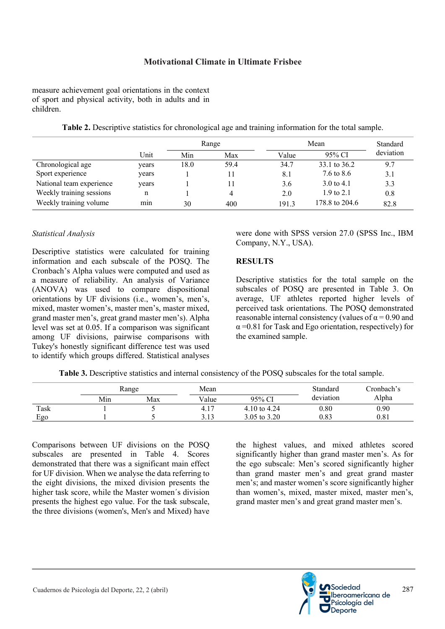measure achievement goal orientations in the context of sport and physical activity, both in adults and in children.

|                          |       | Range |      |       | Standard              |           |
|--------------------------|-------|-------|------|-------|-----------------------|-----------|
|                          | Unit  | Min   | Max  | Value | 95% CI                | deviation |
| Chronological age        | years | 18.0  | 59.4 | 34.7  | 33.1 to 36.2          | 9.7       |
| Sport experience         | years |       |      | 8.1   | 7.6 to 8.6            | 3.1       |
| National team experience | years |       |      | 3.6   | $3.0 \text{ to } 4.1$ | 3.3       |
| Weekly training sessions | n     |       | 4    | 2.0   | $1.9 \text{ to } 2.1$ | 0.8       |
| Weekly training volume   | min   | 30    | 400  | 191.3 | 178.8 to 204.6        | 82.8      |

**Table 2.** Descriptive statistics for chronological age and training information for the total sample.

#### *Statistical Analysis*

Descriptive statistics were calculated for training information and each subscale of the POSQ. The Cronbach's Alpha values were computed and used as a measure of reliability. An analysis of Variance (ANOVA) was used to compare dispositional orientations by UF divisions (i.e., women's, men's, mixed, master women's, master men's, master mixed, grand master men's, great grand master men's). Alpha level was set at 0.05. If a comparison was significant among UF divisions, pairwise comparisons with Tukey's honestly significant difference test was used to identify which groups differed. Statistical analyses

were done with SPSS version 27.0 (SPSS Inc., IBM Company, N.Y., USA).

#### **RESULTS**

Descriptive statistics for the total sample on the subscales of POSQ are presented in Table 3. On average, UF athletes reported higher levels of perceived task orientations. The POSQ demonstrated reasonable internal consistency (values of  $\alpha$  = 0.90 and  $\alpha$  =0.81 for Task and Ego orientation, respectively) for the examined sample.

|  |  | <b>Table 3.</b> Descriptive statistics and internal consistency of the POSO subscales for the total sample. |
|--|--|-------------------------------------------------------------------------------------------------------------|
|  |  |                                                                                                             |

|      |     | Range |                 |              | Standard  | Cronbach's |  |
|------|-----|-------|-----------------|--------------|-----------|------------|--|
|      | Min | Max   | Value           | 95% CI       | deviation | Alpha      |  |
| Task |     |       | 4.1             | 4.10 to 4.24 | 0.80      | 0.90       |  |
| Ego  |     |       | າ 1າ<br>ن 1 ، ب | 3.05 to 3.20 | 0.83      | 0.81       |  |

Comparisons between UF divisions on the POSQ subscales are presented in Table 4. Scores demonstrated that there was a significant main effect for UF division. When we analyse the data referring to the eight divisions, the mixed division presents the higher task score, while the Master women´s division presents the highest ego value. For the task subscale, the three divisions (women's, Men's and Mixed) have

the highest values, and mixed athletes scored significantly higher than grand master men's. As for the ego subscale: Men's scored significantly higher than grand master men's and great grand master men's; and master women's score significantly higher than women's, mixed, master mixed, master men's, grand master men's and great grand master men's.

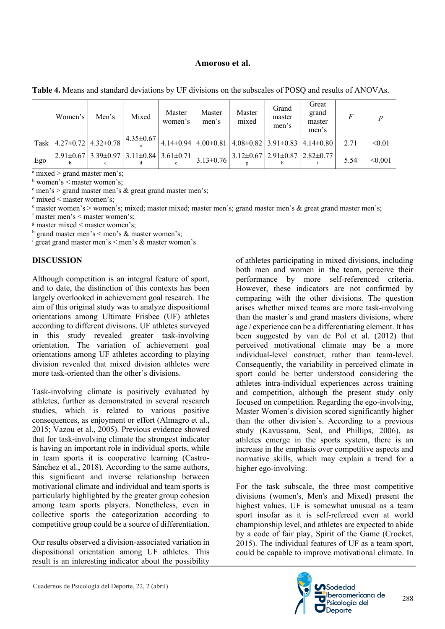#### **Amoroso et al.**

| Table 4. Means and standard deviations by UF divisions on the subscales of POSQ and results of ANOVAs. |  |  |  |  |  |
|--------------------------------------------------------------------------------------------------------|--|--|--|--|--|
|                                                                                                        |  |  |  |  |  |

|     | Women's                                                                                                              | Men's | Mixed | Master<br>women's | Master<br>men's | Master<br>mixed | Grand<br>master<br>men's | Great<br>grand<br>master<br>men's                                                                                             | F    |         |
|-----|----------------------------------------------------------------------------------------------------------------------|-------|-------|-------------------|-----------------|-----------------|--------------------------|-------------------------------------------------------------------------------------------------------------------------------|------|---------|
|     | Task $4.27\pm0.72$ $4.32\pm0.78$ $4.35\pm0.67$ $4.14\pm0.94$ $4.00\pm0.81$ $4.08\pm0.82$ $3.91\pm0.83$ $4.14\pm0.80$ |       |       |                   |                 |                 |                          |                                                                                                                               | 2.71 | < 0.01  |
| Ego |                                                                                                                      |       |       |                   |                 |                 |                          | $2.91\pm0.67$ 3.39 $\pm$ 0.97 3.11 $\pm$ 0.84 3.61 $\pm$ 0.71 3.13 $\pm$ 0.76 3.12 $\pm$ 0.67 2.91 $\pm$ 0.87 2.82 $\pm$ 0.77 | 5.54 | < 0.001 |

 $a$  mixed  $>$  grand master men's;

 $<sup>b</sup>$  women's < master women's;</sup>

 $\text{c}$  men's > grand master men's & great grand master men's;

 $d$  mixed  $\leq$  master women's;

<sup>e</sup> master women's > women's; mixed; master mixed; master men's; grand master men's & great grand master men's;

f master men's  $\leq$  master women's;

 $\frac{g}{g}$  master mixed  $\leq$  master women's;

<sup>h</sup> grand master men's < men's & master women's;

 $\frac{1}{1}$  great grand master men's  $\le$  men's & master women's

#### **DISCUSSION**

Although competition is an integral feature of sport, and to date, the distinction of this contexts has been largely overlooked in achievement goal research. The aim of this original study was to analyze dispositional orientations among Ultimate Frisbee (UF) athletes according to different divisions. UF athletes surveyed in this study revealed greater task-involving orientation. The variation of achievement goal orientations among UF athletes according to playing division revealed that mixed division athletes were more task-oriented than the other´s divisions.

Task-involving climate is positively evaluated by athletes, further as demonstrated in several research studies, which is related to various positive consequences, as enjoyment or effort (Almagro et al., 2015; Vazou et al., 2005). Previous evidence showed that for task-involving climate the strongest indicator is having an important role in individual sports, while in team sports it is cooperative learning (Castro-Sánchez et al., 2018). According to the same authors, this significant and inverse relationship between motivational climate and individual and team sports is particularly highlighted by the greater group cohesion among team sports players. Nonetheless, even in collective sports the categorization according to competitive group could be a source of differentiation.

Our results observed a division-associated variation in dispositional orientation among UF athletes. This result is an interesting indicator about the possibility of athletes participating in mixed divisions, including both men and women in the team, perceive their performance by more self-referenced criteria. However, these indicators are not confirmed by comparing with the other divisions. The question arises whether mixed teams are more task-involving than the master´s and grand masters divisions, where age / experience can be a differentiating element. It has been suggested by van de Pol et al. (2012) that perceived motivational climate may be a more individual-level construct, rather than team-level. Consequently, the variability in perceived climate in sport could be better understood considering the athletes intra-individual experiences across training and competition, although the present study only focused on competition. Regarding the ego-involving, Master Women´s division scored significantly higher than the other division´s. According to a previous study (Kavussanu, Seal, and Phillips, 2006), as athletes emerge in the sports system, there is an increase in the emphasis over competitive aspects and normative skills, which may explain a trend for a higher ego-involving.

For the task subscale, the three most competitive divisions (women's, Men's and Mixed) present the highest values. UF is somewhat unusual as a team sport insofar as it is self-refereed even at world championship level, and athletes are expected to abide by a code of fair play, Spirit of the Game (Crocket, 2015). The individual features of UF as a team sport, could be capable to improve motivational climate. In

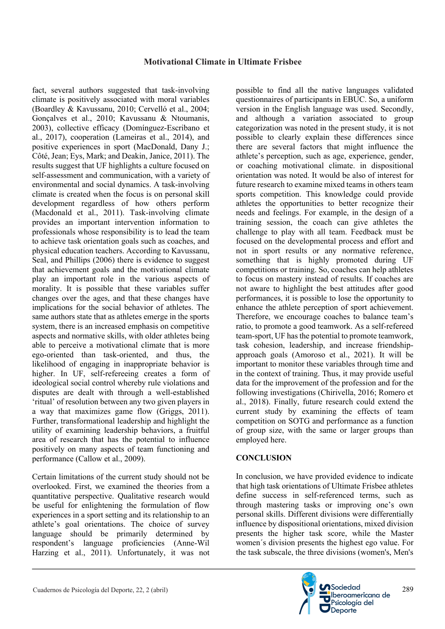fact, several authors suggested that task-involving climate is positively associated with moral variables (Boardley & Kavussanu, 2010; Cervelló et al., 2004; Gonçalves et al., 2010; Kavussanu & Ntoumanis, 2003), collective efficacy (Domínguez-Escribano et al., 2017), cooperation (Lameiras et al., 2014), and positive experiences in sport (MacDonald, Dany J.; Côté, Jean; Eys, Mark; and Deakin, Janice, 2011). The results suggest that UF highlights a culture focused on self-assessment and communication, with a variety of environmental and social dynamics. A task-involving climate is created when the focus is on personal skill development regardless of how others perform (Macdonald et al., 2011). Task-involving climate provides an important intervention information to professionals whose responsibility is to lead the team to achieve task orientation goals such as coaches, and physical education teachers. According to Kavussanu, Seal, and Phillips (2006) there is evidence to suggest that achievement goals and the motivational climate play an important role in the various aspects of morality. It is possible that these variables suffer changes over the ages, and that these changes have implications for the social behavior of athletes. The same authors state that as athletes emerge in the sports system, there is an increased emphasis on competitive aspects and normative skills, with older athletes being able to perceive a motivational climate that is more ego-oriented than task-oriented, and thus, the likelihood of engaging in inappropriate behavior is higher. In UF, self-refereeing creates a form of ideological social control whereby rule violations and disputes are dealt with through a well-established 'ritual' of resolution between any two given players in a way that maximizes game flow (Griggs, 2011). Further, transformational leadership and highlight the utility of examining leadership behaviors, a fruitful area of research that has the potential to influence positively on many aspects of team functioning and performance (Callow et al., 2009).

Certain limitations of the current study should not be overlooked. First, we examined the theories from a quantitative perspective. Qualitative research would be useful for enlightening the formulation of flow experiences in a sport setting and its relationship to an athlete's goal orientations. The choice of survey language should be primarily determined by respondent's language proficiencies (Anne-Wil Harzing et al., 2011). Unfortunately, it was not possible to find all the native languages validated questionnaires of participants in EBUC. So, a uniform version in the English language was used. Secondly, and although a variation associated to group categorization was noted in the present study, it is not possible to clearly explain these differences since there are several factors that might influence the athlete's perception, such as age, experience, gender, or coaching motivational climate. in dispositional orientation was noted. It would be also of interest for future research to examine mixed teams in others team sports competition. This knowledge could provide athletes the opportunities to better recognize their needs and feelings. For example, in the design of a training session, the coach can give athletes the challenge to play with all team. Feedback must be focused on the developmental process and effort and not in sport results or any normative reference, something that is highly promoted during UF competitions or training. So, coaches can help athletes to focus on mastery instead of results. If coaches are not aware to highlight the best attitudes after good performances, it is possible to lose the opportunity to enhance the athlete perception of sport achievement. Therefore, we encourage coaches to balance team's ratio, to promote a good teamwork. As a self-refereed team-sport, UF has the potential to promote teamwork, task cohesion, leadership, and increase friendshipapproach goals (Amoroso et al., 2021). It will be important to monitor these variables through time and in the context of training. Thus, it may provide useful data for the improvement of the profession and for the following investigations (Chirivella, 2016; Romero et al., 2018). Finally, future research could extend the current study by examining the effects of team competition on SOTG and performance as a function of group size, with the same or larger groups than employed here.

#### **CONCLUSION**

In conclusion, we have provided evidence to indicate that high task orientations of Ultimate Frisbee athletes define success in self-referenced terms, such as through mastering tasks or improving one's own personal skills. Different divisions were differentially influence by dispositional orientations, mixed division presents the higher task score, while the Master women´s division presents the highest ego value. For the task subscale, the three divisions (women's, Men's

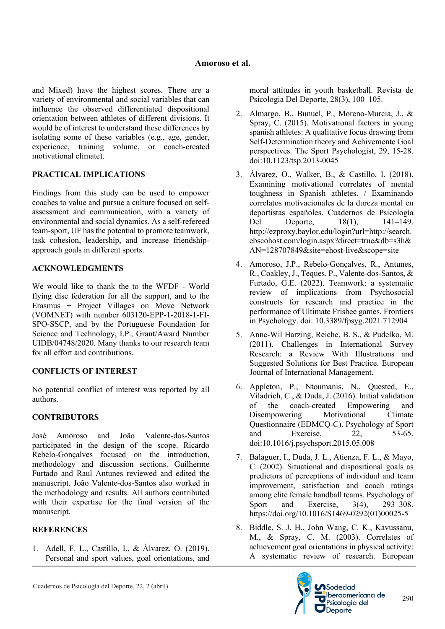and Mixed) have the highest scores. There are a variety of environmental and social variables that can influence the observed differentiated dispositional orientation between athletes of different divisions. It would be of interest to understand these differences by isolating some of these variables (e.g., age, gender, experience, training volume, or coach-created motivational climate).

# **PRACTICAL IMPLICATIONS**

Findings from this study can be used to empower coaches to value and pursue a culture focused on selfassessment and communication, with a variety of environmental and social dynamics. As a self-refereed team-sport, UF has the potential to promote teamwork, task cohesion, leadership, and increase friendshipapproach goals in different sports.

# **ACKNOWLEDGMENTS**

We would like to thank the to the WFDF - World flying disc federation for all the support, and to the Erasmus + Project Villages on Move Network (VOMNET) with number 603120-EPP-1-2018-1-FI-SPO-SSCP, and by the Portuguese Foundation for Science and Technology, I.P., Grant/Award Number UIDB/04748/2020. Many thanks to our research team for all effort and contributions.

# **CONFLICTS OF INTEREST**

No potential conflict of interest was reported by all authors.

# **CONTRIBUTORS**

José Amoroso and João Valente-dos-Santos participated in the design of the scope. Ricardo Rebelo-Gonçalves focused on the introduction, methodology and discussion sections. Guilherme Furtado and Raul Antunes reviewed and edited the manuscript. João Valente-dos-Santos also worked in the methodology and results. All authors contributed with their expertise for the final version of the manuscript.

# **REFERENCES**

1. Adell, F. L., Castillo, I., & Álvarez, O. (2019). Personal and sport values, goal orientations, and moral attitudes in youth basketball. Revista de Psicologia Del Deporte, 28(3), 100–105.

- 2. Almargo, B., Bunuel, P., Moreno-Murcia, J., & Spray, C. (2015). Motivational factors in young spanish athletes: A qualitative focus drawing from Self-Determination theory and Achivemente Goal perspectives. The Sport Psychologist, 29, 15-28. doi:10.1123/tsp.2013-0045
- 3. Álvarez, O., Walker, B., & Castillo, I. (2018). Examining motivational correlates of mental toughness in Spanish athletes. / Examinando correlatos motivacionales de la dureza mental en deportistas españoles. Cuadernos de Psicología Del Deporte, 18(1), 141–149. http://ezproxy.baylor.edu/login?url=http://search. ebscohost.com/login.aspx?direct=true&db=s3h& AN=128707849&site=ehost-live&scope=site
- 4. Amoroso, J.P., Rebelo-Gonçalves, R., Antunes, R., Coakley, J., Teques, P., Valente-dos-Santos, & Furtado, G.E. (2022). Teamwork: a systematic review of implications from Psychosocial constructs for research and practice in the performance of Ultimate Frisbee games. Frontiers in Psychology. doi: 10.3389/fpsyg.2021.712904
- 5. Anne-Wil Harzing, Reiche, B. S., & Pudelko, M. (2011). Challenges in International Survey Research: a Review With Illustrations and Suggested Solutions for Best Practice. European Journal of International Management.
- 6. Appleton, P., Ntoumanis, N., Quested, E., Viladrich, C., & Duda, J. (2016). Initial validation of the coach-created Empowering and Disempowering Motivational Climate Questionnaire (EDMCQ-C). Psychology of Sport and Exercise, 22, 53-65. doi:10.1016/j.psychsport.2015.05.008
- 7. Balaguer, I., Duda, J. L., Atienza, F. L., & Mayo, C. (2002). Situational and dispositional goals as predictors of perceptions of individual and team improvement, satisfaction and coach ratings among elite female handball teams. Psychology of Sport and Exercise, 3(4), 293–308. https://doi.org/10.1016/S1469-0292(01)00025-5
- 8. Biddle, S. J. H., John Wang, C. K., Kavussanu, M., & Spray, C. M. (2003). Correlates of achievement goal orientations in physical activity: A systematic review of research. European



290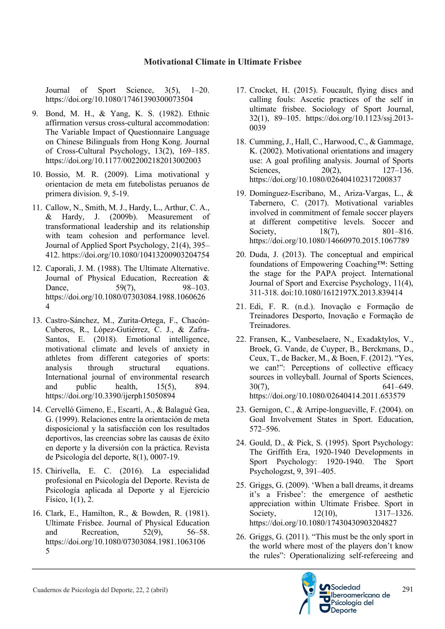Journal of Sport Science, 3(5), 1–20. https://doi.org/10.1080/17461390300073504

- 9. Bond, M. H., & Yang, K. S. (1982). Ethnic affirmation versus cross-cultural accommodation: The Variable Impact of Questionnaire Language on Chinese Bilinguals from Hong Kong. Journal of Cross-Cultural Psychology, 13(2), 169–185. https://doi.org/10.1177/0022002182013002003
- 10. Bossio, M. R. (2009). Lima motivational y orientacion de meta em futebolistas peruanos de primera division. 9, 5-19.
- 11. Callow, N., Smith, M. J., Hardy, L., Arthur, C. A., & Hardy, J. (2009b). Measurement of transformational leadership and its relationship with team cohesion and performance level. Journal of Applied Sport Psychology, 21(4), 395– 412. https://doi.org/10.1080/10413200903204754
- 12. Caporali, J. M. (1988). The Ultimate Alternative. Journal of Physical Education, Recreation & Dance, 59(7), 98–103. https://doi.org/10.1080/07303084.1988.1060626 4
- 13. Castro-Sánchez, M., Zurita-Ortega, F., Chacón-Cuberos, R., López-Gutiérrez, C. J., & Zafra-Santos, E. (2018). Emotional intelligence, motivational climate and levels of anxiety in athletes from different categories of sports: analysis through structural equations. International journal of environmental research and public health, 15(5), 894. https://doi.org/10.3390/ijerph15050894
- 14. Cervelló Gimeno, E., Escartí, A., & Balagué Gea, G. (1999). Relaciones entre la orientación de meta disposicional y la satisfacción con los resultados deportivos, las creencias sobre las causas de éxito en deporte y la diversión con la práctica. Revista de Psicología del deporte, 8(1), 0007-19.
- 15. Chirivella, E. C. (2016). La especialidad profesional en Psicología del Deporte. Revista de Psicología aplicada al Deporte y al Ejercicio Físico, 1(1), 2.
- 16. Clark, E., Hamilton, R., & Bowden, R. (1981). Ultimate Frisbee. Journal of Physical Education and Recreation, 52(9), 56–58. https://doi.org/10.1080/07303084.1981.1063106 5
- 17. Crocket, H. (2015). Foucault, flying discs and calling fouls: Ascetic practices of the self in ultimate frisbee. Sociology of Sport Journal, 32(1), 89–105. https://doi.org/10.1123/ssj.2013- 0039
- 18. Cumming, J., Hall, C., Harwood, C., & Gammage, K. (2002). Motivational orientations and imagery use: A goal profiling analysis. Journal of Sports Sciences, 20(2), 127–136. https://doi.org/10.1080/026404102317200837
- 19. Domínguez-Escribano, M., Ariza-Vargas, L., & Tabernero, C. (2017). Motivational variables involved in commitment of female soccer players at different competitive levels. Soccer and Society, 18(7), 801–816. https://doi.org/10.1080/14660970.2015.1067789
- 20. Duda, J. (2013). The conceptual and empirical foundations of Empowering Coaching™: Setting the stage for the PAPA project. International Journal of Sport and Exercise Psychology, 11(4), 311-318. doi:10.1080/1612197X.2013.839414
- 21. Edi, F. R. (n.d.). Inovação e Formação de Treinadores Desporto, Inovação e Formação de Treinadores.
- 22. Fransen, K., Vanbeselaere, N., Exadaktylos, V., Broek, G. Vande, de Cuyper, B., Berckmans, D., Ceux, T., de Backer, M., & Boen, F. (2012). "Yes, we can!": Perceptions of collective efficacy sources in volleyball. Journal of Sports Sciences,  $30(7)$ , 641–649. https://doi.org/10.1080/02640414.2011.653579
- 23. Gernigon, C., & Arripe-longueville, F. (2004). on Goal Involvement States in Sport. Education, 572–596.
- 24. Gould, D., & Pick, S. (1995). Sport Psychology: The Griffith Era, 1920-1940 Developments in Sport Psychology: 1920-1940. The Sport Psychologzst, 9, 391–405.
- 25. Griggs, G. (2009). 'When a ball dreams, it dreams it's a Frisbee': the emergence of aesthetic appreciation within Ultimate Frisbee. Sport in Society, 12(10), 1317–1326. https://doi.org/10.1080/17430430903204827
- 26. Griggs, G. (2011). "This must be the only sport in the world where most of the players don't know the rules": Operationalizing self-refereeing and

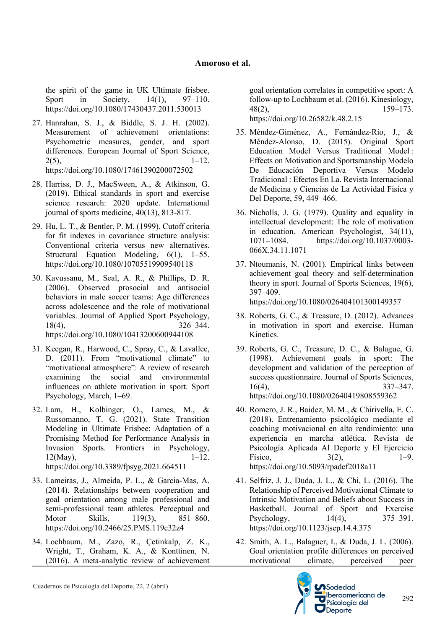the spirit of the game in UK Ultimate frisbee. Sport in Society, 14(1), 97–110. https://doi.org/10.1080/17430437.2011.530013

- 27. Hanrahan, S. J., & Biddle, S. J. H. (2002). Measurement of achievement orientations: Psychometric measures, gender, and sport differences. European Journal of Sport Science,  $2(5)$ ,  $1-12$ . https://doi.org/10.1080/17461390200072502
- 28. Harriss, D. J., MacSween, A., & Atkinson, G. (2019). Ethical standards in sport and exercise science research: 2020 update. International journal of sports medicine, 40(13), 813-817.
- 29. Hu, L. T., & Bentler, P. M. (1999). Cutoff criteria for fit indexes in covariance structure analysis: Conventional criteria versus new alternatives. Structural Equation Modeling, 6(1), 1–55. https://doi.org/10.1080/10705519909540118
- 30. Kavussanu, M., Seal, A. R., & Phillips, D. R. (2006). Observed prosocial and antisocial behaviors in male soccer teams: Age differences across adolescence and the role of motivational variables. Journal of Applied Sport Psychology, 18(4), 326–344. https://doi.org/10.1080/10413200600944108
- 31. Keegan, R., Harwood, C., Spray, C., & Lavallee, D. (2011). From "motivational climate" to "motivational atmosphere": A review of research examining the social and environmental influences on athlete motivation in sport. Sport Psychology, March, 1–69.
- 32. Lam, H., Kolbinger, O., Lames, M., & Russomanno, T. G. (2021). State Transition Modeling in Ultimate Frisbee: Adaptation of a Promising Method for Performance Analysis in Invasion Sports. Frontiers in Psychology,  $12(Mav)$ ,  $1-12$ . https://doi.org/10.3389/fpsyg.2021.664511
- 33. Lameiras, J., Almeida, P. L., & Garcia-Mas, A. (2014). Relationships between cooperation and goal orientation among male professional and semi-professional team athletes. Perceptual and Motor Skills, 119(3), 851–860. https://doi.org/10.2466/25.PMS.119c32z4
- 34. Lochbaum, M., Zazo, R., Çetinkalp, Z. K., Wright, T., Graham, K. A., & Konttinen, N. (2016). A meta-analytic review of achievement

goal orientation correlates in competitive sport: A follow-up to Lochbaum et al. (2016). Kinesiology, 48(2), 159–173. https://doi.org/10.26582/k.48.2.15

- 35. Méndez-Giménez, A., Fernández-Río, J., & Méndez-Alonso, D. (2015). Original Sport Education Model Versus Traditional Model : Effects on Motivation and Sportsmanship Modelo De Educación Deportiva Versus Modelo Tradicional : Efectos En La. Revista Internacional de Medicina y Ciencias de La Actividad Fisica y Del Deporte, 59, 449–466.
- 36. Nicholls, J. G. (1979). Quality and equality in intellectual development: The role of motivation in education. American Psychologist, 34(11), 1071–1084. https://doi.org/10.1037/0003- 066X.34.11.1071
- 37. Ntoumanis, N. (2001). Empirical links between achievement goal theory and self-determination theory in sport. Journal of Sports Sciences, 19(6), 397–409. https://doi.org/10.1080/026404101300149357
- 38. Roberts, G. C., & Treasure, D. (2012). Advances in motivation in sport and exercise. Human Kinetics.
- 39. Roberts, G. C., Treasure, D. C., & Balague, G. (1998). Achievement goals in sport: The development and validation of the perception of success questionnaire. Journal of Sports Sciences, 16(4), 337–347. https://doi.org/10.1080/02640419808559362
- 40. Romero, J. R., Baidez, M. M., & Chirivella, E. C. (2018). Entrenamiento psicológico mediante el coaching motivacional en alto rendimiento: una experiencia en marcha atlética. Revista de Psicología Aplicada Al Deporte y El Ejercicio Físico,  $3(2)$ ,  $1-9$ . https://doi.org/10.5093/rpadef2018a11
- 41. Selfriz, J. J., Duda, J. L., & Chi, L. (2016). The Relationship of Perceived Motivational Climate to Intrinsic Motivation and Beliefs about Success in Basketball. Journal of Sport and Exercise<br>Psychology. 14(4). 375–391. Psychology,  $14(4)$ , https://doi.org/10.1123/jsep.14.4.375
- 42. Smith, A. L., Balaguer, I., & Duda, J. L. (2006). Goal orientation profile differences on perceived motivational climate, perceived peer